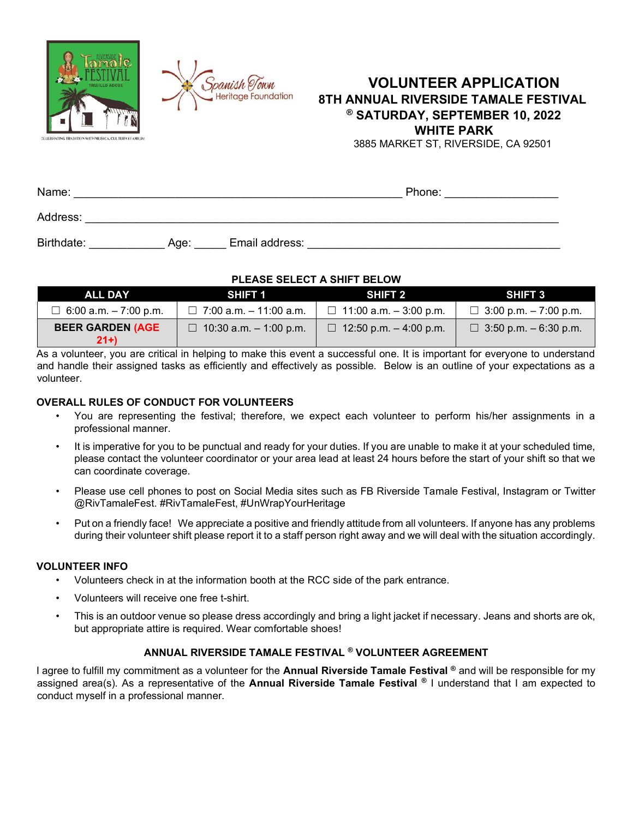



# **VOLUNTEER APPLICATION 8TH ANNUAL RIVERSIDE TAMALE FESTIVAL ® SATURDAY, SEPTEMBER 10, 2022 WHITE PARK**

3885 MARKET ST, RIVERSIDE, CA 92501

| Name:      |      |                | Phone: |  |
|------------|------|----------------|--------|--|
| Address:   |      |                |        |  |
| Birthdate: | Age: | Email address: |        |  |

### **PLEASE SELECT A SHIFT BELOW**

| <b>ALL DAY</b>                   | <b>SHIFT 1</b>                | SHIFT 2                         | <b>SHIFT 3</b>                |
|----------------------------------|-------------------------------|---------------------------------|-------------------------------|
| $\Box$ 6:00 a.m. $-7:00$ p.m.    | $\Box$ 7:00 a.m. - 11:00 a.m. | $\Box$ 11:00 a.m. - 3:00 p.m.   | $\Box$ 3:00 p.m. $-7:00$ p.m. |
| <b>BEER GARDEN (AGE</b><br>$21+$ | $\Box$ 10:30 a.m. - 1:00 p.m. | $\Box$ 12:50 p.m. $-$ 4:00 p.m. | $\Box$ 3:50 p.m. $-6:30$ p.m. |

As a volunteer, you are critical in helping to make this event a successful one. It is important for everyone to understand and handle their assigned tasks as efficiently and effectively as possible. Below is an outline of your expectations as a volunteer.

### **OVERALL RULES OF CONDUCT FOR VOLUNTEERS**

- You are representing the festival; therefore, we expect each volunteer to perform his/her assignments in a professional manner.
- It is imperative for you to be punctual and ready for your duties. If you are unable to make it at your scheduled time, please contact the volunteer coordinator or your area lead at least 24 hours before the start of your shift so that we can coordinate coverage.
- Please use cell phones to post on Social Media sites such as FB Riverside Tamale Festival, Instagram or Twitter @RivTamaleFest. #RivTamaleFest, #UnWrapYourHeritage
- Put on a friendly face! We appreciate a positive and friendly attitude from all volunteers. If anyone has any problems during their volunteer shift please report it to a staff person right away and we will deal with the situation accordingly.

#### **VOLUNTEER INFO**

- Volunteers check in at the information booth at the RCC side of the park entrance.
- Volunteers will receive one free t-shirt.
- This is an outdoor venue so please dress accordingly and bring a light jacket if necessary. Jeans and shorts are ok, but appropriate attire is required. Wear comfortable shoes!

### **ANNUAL RIVERSIDE TAMALE FESTIVAL ® VOLUNTEER AGREEMENT**

I agree to fulfill my commitment as a volunteer for the **Annual Riverside Tamale Festival ®** and will be responsible for my assigned area(s). As a representative of the **Annual Riverside Tamale Festival ®** I understand that I am expected to conduct myself in a professional manner.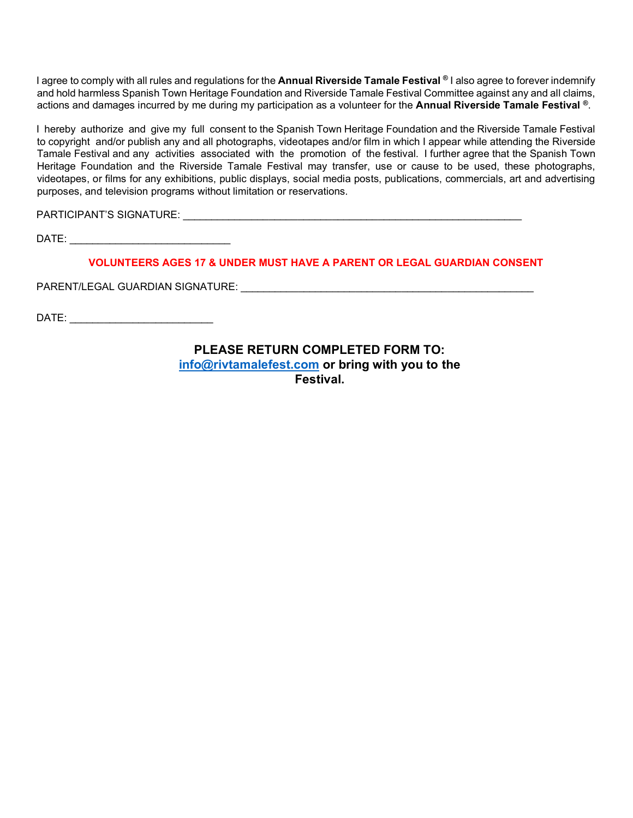I agree to comply with all rules and regulations for the **Annual Riverside Tamale Festival ®** I also agree to forever indemnify and hold harmless Spanish Town Heritage Foundation and Riverside Tamale Festival Committee against any and all claims, actions and damages incurred by me during my participation as a volunteer for the **Annual Riverside Tamale Festival ®**.

I hereby authorize and give my full consent to the Spanish Town Heritage Foundation and the Riverside Tamale Festival to copyright and/or publish any and all photographs, videotapes and/or film in which I appear while attending the Riverside Tamale Festival and any activities associated with the promotion of the festival. I further agree that the Spanish Town Heritage Foundation and the Riverside Tamale Festival may transfer, use or cause to be used, these photographs, videotapes, or films for any exhibitions, public displays, social media posts, publications, commercials, art and advertising purposes, and television programs without limitation or reservations.

PARTICIPANT'S SIGNATURE: \_\_\_\_\_\_\_\_\_\_\_\_\_\_\_\_\_\_\_\_\_\_\_\_\_\_\_\_\_\_\_\_\_\_\_\_\_\_\_\_\_\_\_\_\_\_\_\_\_\_\_\_\_\_\_\_\_\_\_

DATE:  $\blacksquare$ 

**VOLUNTEERS AGES 17 & UNDER MUST HAVE A PARENT OR LEGAL GUARDIAN CONSENT**

PARENT/LEGAL GUARDIAN SIGNATURE: \_\_\_\_\_\_\_\_\_\_\_\_\_\_\_\_\_\_\_\_\_\_\_\_\_\_\_\_\_\_\_\_\_\_\_\_\_\_\_\_\_\_\_\_\_\_\_\_\_\_\_

DATE: \_\_\_\_\_\_\_\_\_\_\_\_\_\_\_\_\_\_\_\_\_\_\_\_\_

**PLEASE RETURN COMPLETED FORM TO: [info@rivtamalefest.com](mailto:info@rivtamalefest.com) or bring with you to the Festival.**